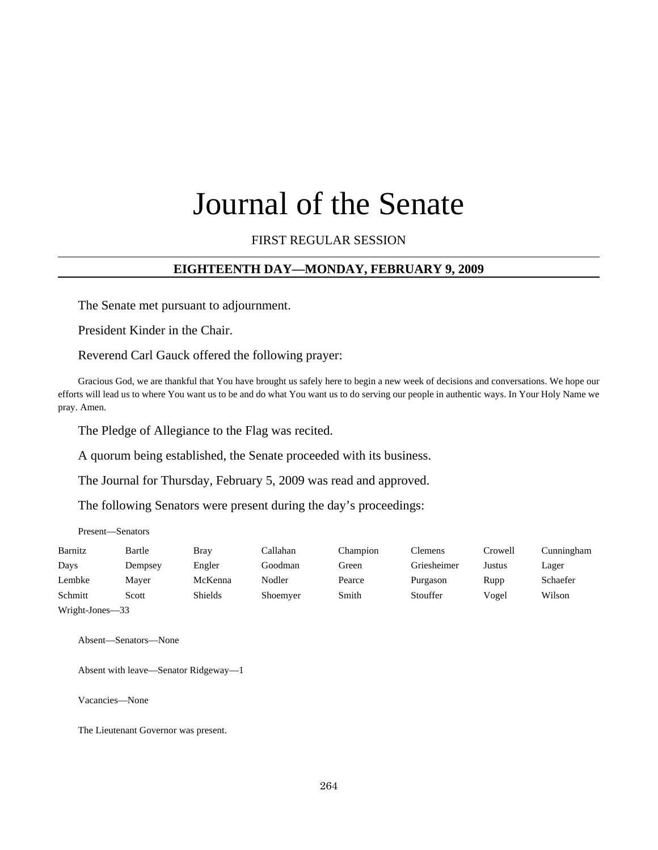# Journal of the Senate

## FIRST REGULAR SESSION

## **EIGHTEENTH DAY—MONDAY, FEBRUARY 9, 2009**

The Senate met pursuant to adjournment.

President Kinder in the Chair.

Reverend Carl Gauck offered the following prayer:

Gracious God, we are thankful that You have brought us safely here to begin a new week of decisions and conversations. We hope our efforts will lead us to where You want us to be and do what You want us to do serving our people in authentic ways. In Your Holy Name we pray. Amen.

The Pledge of Allegiance to the Flag was recited.

A quorum being established, the Senate proceeded with its business.

The Journal for Thursday, February 5, 2009 was read and approved.

The following Senators were present during the day's proceedings:

Present—Senators

| Barnitz         | Bartle  | <b>Bray</b>    | Callahan | Champion | Clemens     | Crowell | Cunningham |
|-----------------|---------|----------------|----------|----------|-------------|---------|------------|
| Days            | Dempsey | Engler         | Goodman  | Green    | Griesheimer | Justus  | Lager      |
| Lembke          | Mayer   | McKenna        | Nodler   | Pearce   | Purgason    | Rupp    | Schaefer   |
| Schmitt         | Scott   | <b>Shields</b> | Shoemyer | Smith    | Stouffer    | Vogel   | Wilson     |
| Wright-Jones-33 |         |                |          |          |             |         |            |

Absent—Senators—None

Absent with leave—Senator Ridgeway—1

Vacancies—None

The Lieutenant Governor was present.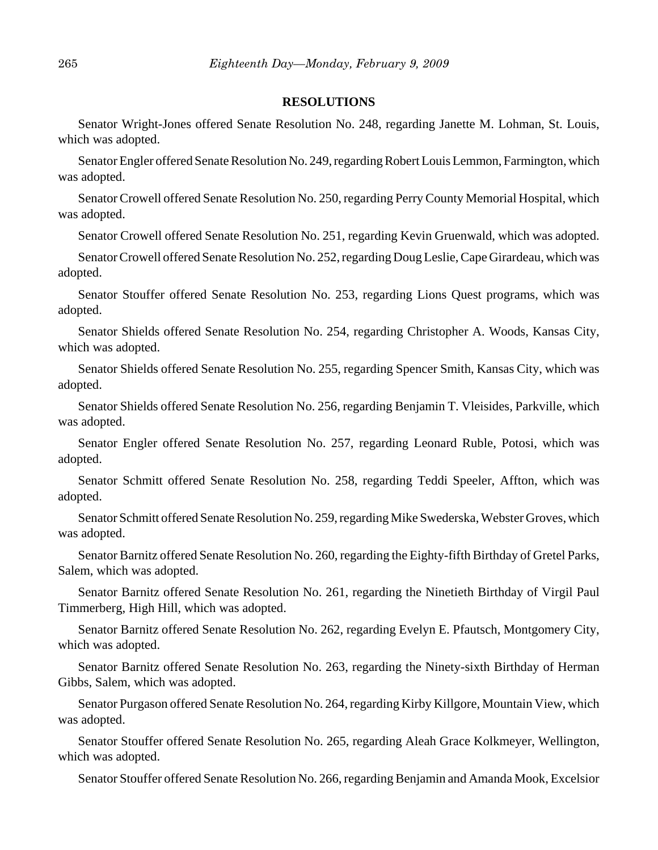#### **RESOLUTIONS**

Senator Wright-Jones offered Senate Resolution No. 248, regarding Janette M. Lohman, St. Louis, which was adopted.

Senator Engler offered Senate Resolution No. 249, regarding Robert Louis Lemmon, Farmington, which was adopted.

Senator Crowell offered Senate Resolution No. 250, regarding Perry County Memorial Hospital, which was adopted.

Senator Crowell offered Senate Resolution No. 251, regarding Kevin Gruenwald, which was adopted.

Senator Crowell offered Senate Resolution No. 252, regarding Doug Leslie, Cape Girardeau, which was adopted.

Senator Stouffer offered Senate Resolution No. 253, regarding Lions Quest programs, which was adopted.

Senator Shields offered Senate Resolution No. 254, regarding Christopher A. Woods, Kansas City, which was adopted.

Senator Shields offered Senate Resolution No. 255, regarding Spencer Smith, Kansas City, which was adopted.

Senator Shields offered Senate Resolution No. 256, regarding Benjamin T. Vleisides, Parkville, which was adopted.

Senator Engler offered Senate Resolution No. 257, regarding Leonard Ruble, Potosi, which was adopted.

Senator Schmitt offered Senate Resolution No. 258, regarding Teddi Speeler, Affton, which was adopted.

Senator Schmitt offered Senate Resolution No. 259, regarding Mike Swederska, Webster Groves, which was adopted.

Senator Barnitz offered Senate Resolution No. 260, regarding the Eighty-fifth Birthday of Gretel Parks, Salem, which was adopted.

Senator Barnitz offered Senate Resolution No. 261, regarding the Ninetieth Birthday of Virgil Paul Timmerberg, High Hill, which was adopted.

Senator Barnitz offered Senate Resolution No. 262, regarding Evelyn E. Pfautsch, Montgomery City, which was adopted.

Senator Barnitz offered Senate Resolution No. 263, regarding the Ninety-sixth Birthday of Herman Gibbs, Salem, which was adopted.

Senator Purgason offered Senate Resolution No. 264, regarding Kirby Killgore, Mountain View, which was adopted.

Senator Stouffer offered Senate Resolution No. 265, regarding Aleah Grace Kolkmeyer, Wellington, which was adopted.

Senator Stouffer offered Senate Resolution No. 266, regarding Benjamin and Amanda Mook, Excelsior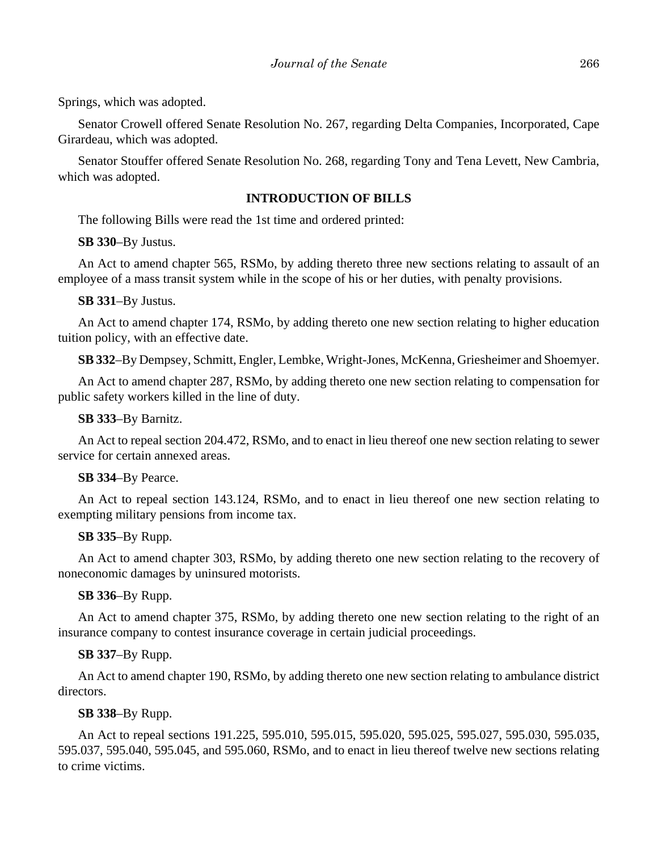Springs, which was adopted.

Senator Crowell offered Senate Resolution No. 267, regarding Delta Companies, Incorporated, Cape Girardeau, which was adopted.

Senator Stouffer offered Senate Resolution No. 268, regarding Tony and Tena Levett, New Cambria, which was adopted.

# **INTRODUCTION OF BILLS**

The following Bills were read the 1st time and ordered printed:

**SB 330**–By Justus.

An Act to amend chapter 565, RSMo, by adding thereto three new sections relating to assault of an employee of a mass transit system while in the scope of his or her duties, with penalty provisions.

**SB 331**–By Justus.

An Act to amend chapter 174, RSMo, by adding thereto one new section relating to higher education tuition policy, with an effective date.

**SB 332**–By Dempsey, Schmitt, Engler, Lembke, Wright-Jones, McKenna, Griesheimer and Shoemyer.

An Act to amend chapter 287, RSMo, by adding thereto one new section relating to compensation for public safety workers killed in the line of duty.

## **SB 333**–By Barnitz.

An Act to repeal section 204.472, RSMo, and to enact in lieu thereof one new section relating to sewer service for certain annexed areas.

## **SB 334**–By Pearce.

An Act to repeal section 143.124, RSMo, and to enact in lieu thereof one new section relating to exempting military pensions from income tax.

# **SB 335**–By Rupp.

An Act to amend chapter 303, RSMo, by adding thereto one new section relating to the recovery of noneconomic damages by uninsured motorists.

# **SB 336**–By Rupp.

An Act to amend chapter 375, RSMo, by adding thereto one new section relating to the right of an insurance company to contest insurance coverage in certain judicial proceedings.

# **SB 337**–By Rupp.

An Act to amend chapter 190, RSMo, by adding thereto one new section relating to ambulance district directors.

# **SB 338**–By Rupp.

An Act to repeal sections 191.225, 595.010, 595.015, 595.020, 595.025, 595.027, 595.030, 595.035, 595.037, 595.040, 595.045, and 595.060, RSMo, and to enact in lieu thereof twelve new sections relating to crime victims.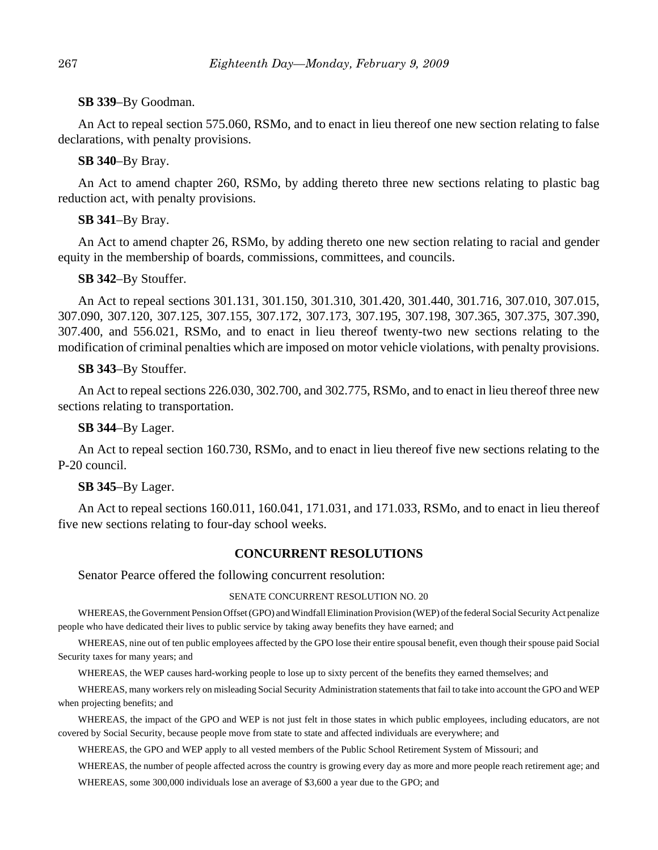## **SB 339**–By Goodman.

An Act to repeal section 575.060, RSMo, and to enact in lieu thereof one new section relating to false declarations, with penalty provisions.

## **SB 340**–By Bray.

An Act to amend chapter 260, RSMo, by adding thereto three new sections relating to plastic bag reduction act, with penalty provisions.

#### **SB 341**–By Bray.

An Act to amend chapter 26, RSMo, by adding thereto one new section relating to racial and gender equity in the membership of boards, commissions, committees, and councils.

#### **SB 342**–By Stouffer.

An Act to repeal sections 301.131, 301.150, 301.310, 301.420, 301.440, 301.716, 307.010, 307.015, 307.090, 307.120, 307.125, 307.155, 307.172, 307.173, 307.195, 307.198, 307.365, 307.375, 307.390, 307.400, and 556.021, RSMo, and to enact in lieu thereof twenty-two new sections relating to the modification of criminal penalties which are imposed on motor vehicle violations, with penalty provisions.

## **SB 343**–By Stouffer.

An Act to repeal sections 226.030, 302.700, and 302.775, RSMo, and to enact in lieu thereof three new sections relating to transportation.

#### **SB 344**–By Lager.

An Act to repeal section 160.730, RSMo, and to enact in lieu thereof five new sections relating to the P-20 council.

#### **SB 345**–By Lager.

An Act to repeal sections 160.011, 160.041, 171.031, and 171.033, RSMo, and to enact in lieu thereof five new sections relating to four-day school weeks.

## **CONCURRENT RESOLUTIONS**

#### Senator Pearce offered the following concurrent resolution:

#### SENATE CONCURRENT RESOLUTION NO. 20

WHEREAS, the Government Pension Offset (GPO) and Windfall Elimination Provision (WEP) of the federal Social Security Act penalize people who have dedicated their lives to public service by taking away benefits they have earned; and

WHEREAS, nine out of ten public employees affected by the GPO lose their entire spousal benefit, even though their spouse paid Social Security taxes for many years; and

WHEREAS, the WEP causes hard-working people to lose up to sixty percent of the benefits they earned themselves; and

WHEREAS, many workers rely on misleading Social Security Administration statements that fail to take into account the GPO and WEP when projecting benefits; and

WHEREAS, the impact of the GPO and WEP is not just felt in those states in which public employees, including educators, are not covered by Social Security, because people move from state to state and affected individuals are everywhere; and

WHEREAS, the GPO and WEP apply to all vested members of the Public School Retirement System of Missouri; and

WHEREAS, the number of people affected across the country is growing every day as more and more people reach retirement age; and WHEREAS, some 300,000 individuals lose an average of \$3,600 a year due to the GPO; and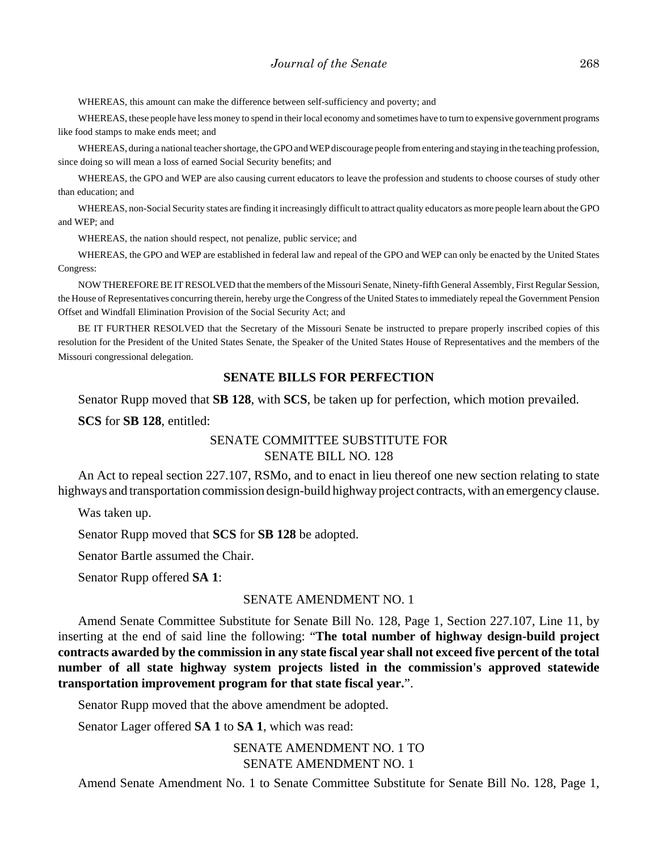WHEREAS, this amount can make the difference between self-sufficiency and poverty; and

WHEREAS, these people have less money to spend in their local economy and sometimes have to turn to expensive government programs like food stamps to make ends meet; and

WHEREAS, during a national teacher shortage, the GPO and WEP discourage people from entering and staying in the teaching profession, since doing so will mean a loss of earned Social Security benefits; and

WHEREAS, the GPO and WEP are also causing current educators to leave the profession and students to choose courses of study other than education; and

WHEREAS, non-Social Security states are finding it increasingly difficult to attract quality educators as more people learn about the GPO and WEP; and

WHEREAS, the nation should respect, not penalize, public service; and

WHEREAS, the GPO and WEP are established in federal law and repeal of the GPO and WEP can only be enacted by the United States Congress:

NOW THEREFORE BE IT RESOLVED that the members of the Missouri Senate, Ninety-fifth General Assembly, First Regular Session, the House of Representatives concurring therein, hereby urge the Congress of the United States to immediately repeal the Government Pension Offset and Windfall Elimination Provision of the Social Security Act; and

BE IT FURTHER RESOLVED that the Secretary of the Missouri Senate be instructed to prepare properly inscribed copies of this resolution for the President of the United States Senate, the Speaker of the United States House of Representatives and the members of the Missouri congressional delegation.

## **SENATE BILLS FOR PERFECTION**

Senator Rupp moved that **SB 128**, with **SCS**, be taken up for perfection, which motion prevailed.

**SCS** for **SB 128**, entitled:

## SENATE COMMITTEE SUBSTITUTE FOR SENATE BILL NO. 128

An Act to repeal section 227.107, RSMo, and to enact in lieu thereof one new section relating to state highways and transportation commission design-build highway project contracts, with an emergency clause.

Was taken up.

Senator Rupp moved that **SCS** for **SB 128** be adopted.

Senator Bartle assumed the Chair.

Senator Rupp offered **SA 1**:

## SENATE AMENDMENT NO. 1

Amend Senate Committee Substitute for Senate Bill No. 128, Page 1, Section 227.107, Line 11, by inserting at the end of said line the following: "**The total number of highway design-build project contracts awarded by the commission in any state fiscal year shall not exceed five percent of the total number of all state highway system projects listed in the commission's approved statewide transportation improvement program for that state fiscal year.**".

Senator Rupp moved that the above amendment be adopted.

Senator Lager offered **SA 1** to **SA 1**, which was read:

SENATE AMENDMENT NO. 1 TO SENATE AMENDMENT NO. 1

Amend Senate Amendment No. 1 to Senate Committee Substitute for Senate Bill No. 128, Page 1,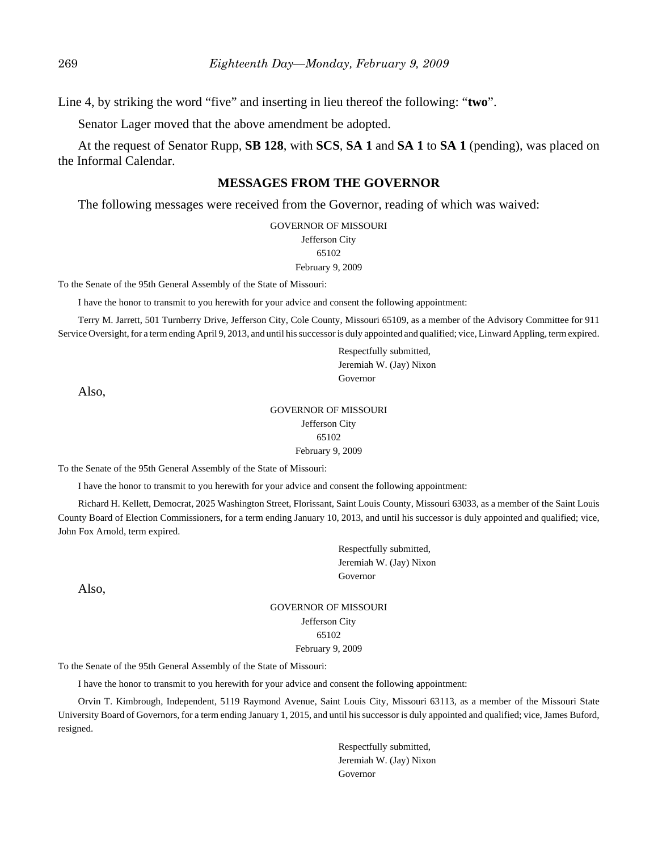Line 4, by striking the word "five" and inserting in lieu thereof the following: "**two**".

Senator Lager moved that the above amendment be adopted.

At the request of Senator Rupp, **SB 128**, with **SCS**, **SA 1** and **SA 1** to **SA 1** (pending), was placed on the Informal Calendar.

## **MESSAGES FROM THE GOVERNOR**

The following messages were received from the Governor, reading of which was waived:

GOVERNOR OF MISSOURI Jefferson City 65102 February 9, 2009

To the Senate of the 95th General Assembly of the State of Missouri:

I have the honor to transmit to you herewith for your advice and consent the following appointment:

Terry M. Jarrett, 501 Turnberry Drive, Jefferson City, Cole County, Missouri 65109, as a member of the Advisory Committee for 911 Service Oversight, for a term ending April 9, 2013, and until his successor is duly appointed and qualified; vice, Linward Appling, term expired.

> Respectfully submitted, Jeremiah W. (Jay) Nixon Governor

Also,

#### GOVERNOR OF MISSOURI Jefferson City 65102 February 9, 2009

To the Senate of the 95th General Assembly of the State of Missouri:

I have the honor to transmit to you herewith for your advice and consent the following appointment:

Richard H. Kellett, Democrat, 2025 Washington Street, Florissant, Saint Louis County, Missouri 63033, as a member of the Saint Louis County Board of Election Commissioners, for a term ending January 10, 2013, and until his successor is duly appointed and qualified; vice, John Fox Arnold, term expired.

> Respectfully submitted, Jeremiah W. (Jay) Nixon Governor

Also,

GOVERNOR OF MISSOURI Jefferson City 65102 February 9, 2009

To the Senate of the 95th General Assembly of the State of Missouri:

I have the honor to transmit to you herewith for your advice and consent the following appointment:

Orvin T. Kimbrough, Independent, 5119 Raymond Avenue, Saint Louis City, Missouri 63113, as a member of the Missouri State University Board of Governors, for a term ending January 1, 2015, and until his successor is duly appointed and qualified; vice, James Buford, resigned.

> Respectfully submitted, Jeremiah W. (Jay) Nixon Governor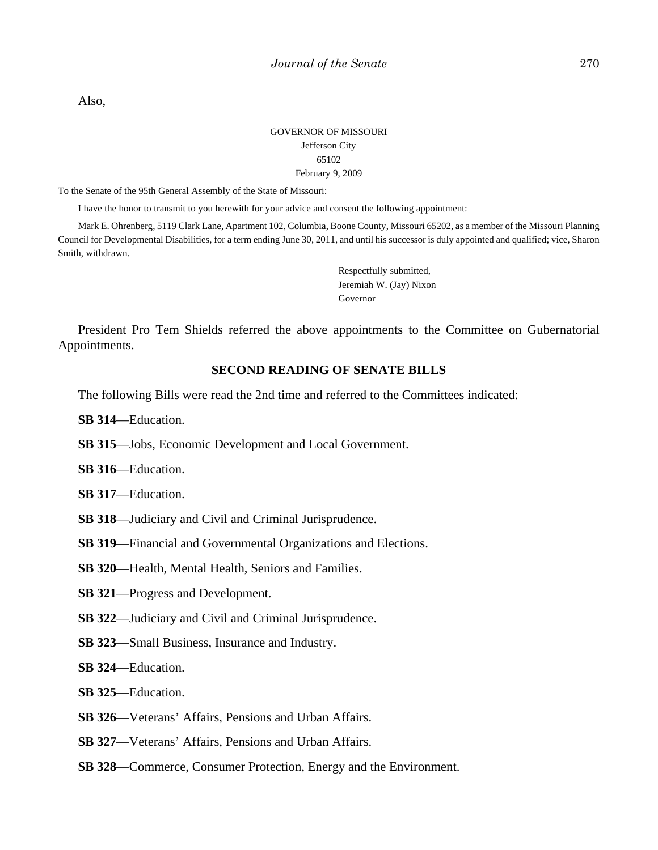Also,

## GOVERNOR OF MISSOURI Jefferson City 65102 February 9, 2009

To the Senate of the 95th General Assembly of the State of Missouri:

I have the honor to transmit to you herewith for your advice and consent the following appointment:

Mark E. Ohrenberg, 5119 Clark Lane, Apartment 102, Columbia, Boone County, Missouri 65202, as a member of the Missouri Planning Council for Developmental Disabilities, for a term ending June 30, 2011, and until his successor is duly appointed and qualified; vice, Sharon Smith, withdrawn.

> Respectfully submitted, Jeremiah W. (Jay) Nixon Governor

President Pro Tem Shields referred the above appointments to the Committee on Gubernatorial Appointments.

# **SECOND READING OF SENATE BILLS**

The following Bills were read the 2nd time and referred to the Committees indicated:

**SB 314**—Education.

- **SB 315**—Jobs, Economic Development and Local Government.
- **SB 316**—Education.
- **SB 317**—Education.
- **SB 318**—Judiciary and Civil and Criminal Jurisprudence.
- **SB 319**—Financial and Governmental Organizations and Elections.
- **SB 320**—Health, Mental Health, Seniors and Families.
- **SB 321**—Progress and Development.
- **SB 322**—Judiciary and Civil and Criminal Jurisprudence.
- **SB 323**—Small Business, Insurance and Industry.

**SB 324**—Education.

- **SB 325**—Education.
- **SB 326**—Veterans' Affairs, Pensions and Urban Affairs.
- **SB 327**—Veterans' Affairs, Pensions and Urban Affairs.
- **SB 328**—Commerce, Consumer Protection, Energy and the Environment.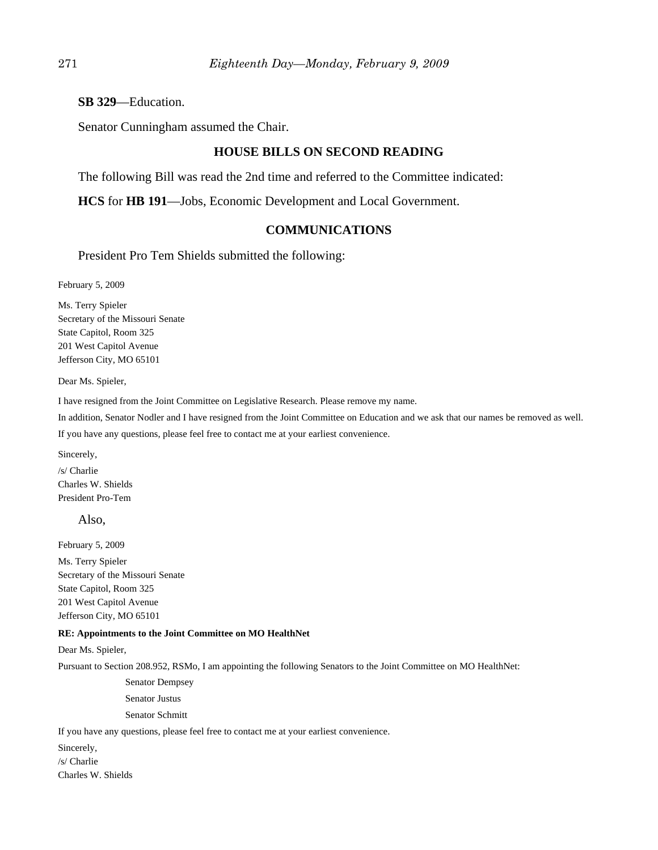## **SB 329**—Education.

Senator Cunningham assumed the Chair.

## **HOUSE BILLS ON SECOND READING**

The following Bill was read the 2nd time and referred to the Committee indicated:

**HCS** for **HB 191**—Jobs, Economic Development and Local Government.

# **COMMUNICATIONS**

President Pro Tem Shields submitted the following:

February 5, 2009

Ms. Terry Spieler Secretary of the Missouri Senate State Capitol, Room 325 201 West Capitol Avenue Jefferson City, MO 65101

Dear Ms. Spieler,

I have resigned from the Joint Committee on Legislative Research. Please remove my name.

In addition, Senator Nodler and I have resigned from the Joint Committee on Education and we ask that our names be removed as well.

If you have any questions, please feel free to contact me at your earliest convenience.

Sincerely,

/s/ Charlie Charles W. Shields President Pro-Tem

#### Also,

February 5, 2009

Ms. Terry Spieler Secretary of the Missouri Senate State Capitol, Room 325 201 West Capitol Avenue Jefferson City, MO 65101

#### **RE: Appointments to the Joint Committee on MO HealthNet**

Dear Ms. Spieler,

Pursuant to Section 208.952, RSMo, I am appointing the following Senators to the Joint Committee on MO HealthNet:

Senator Dempsey

Senator Justus

Senator Schmitt

If you have any questions, please feel free to contact me at your earliest convenience.

Sincerely, /s/ Charlie Charles W. Shields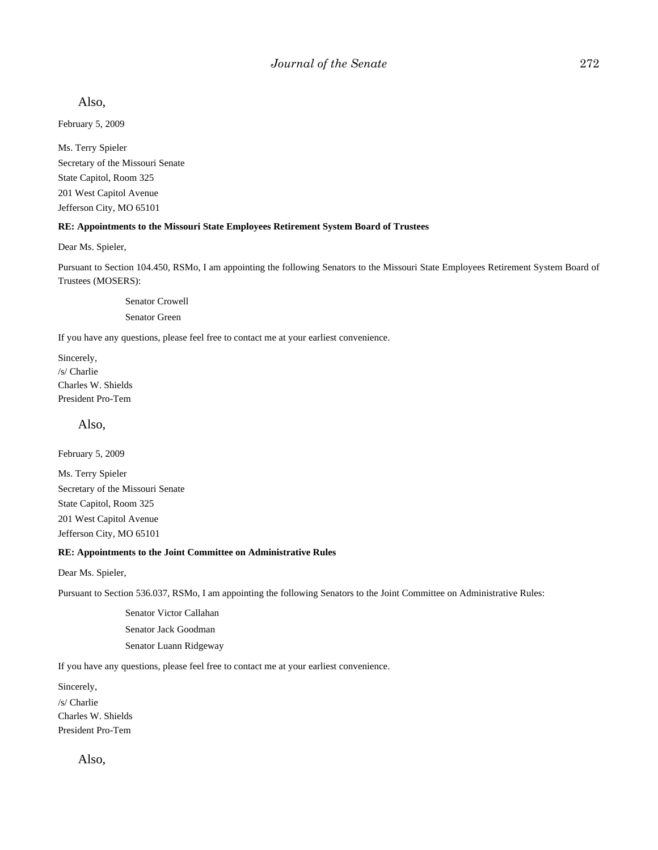Also,

February 5, 2009

Ms. Terry Spieler Secretary of the Missouri Senate State Capitol, Room 325 201 West Capitol Avenue Jefferson City, MO 65101

#### **RE: Appointments to the Missouri State Employees Retirement System Board of Trustees**

Dear Ms. Spieler,

Pursuant to Section 104.450, RSMo, I am appointing the following Senators to the Missouri State Employees Retirement System Board of Trustees (MOSERS):

Senator Crowell

Senator Green

If you have any questions, please feel free to contact me at your earliest convenience.

Sincerely, /s/ Charlie Charles W. Shields President Pro-Tem

Also,

February 5, 2009

Ms. Terry Spieler Secretary of the Missouri Senate State Capitol, Room 325 201 West Capitol Avenue Jefferson City, MO 65101

#### **RE: Appointments to the Joint Committee on Administrative Rules**

Dear Ms. Spieler,

Pursuant to Section 536.037, RSMo, I am appointing the following Senators to the Joint Committee on Administrative Rules:

Senator Victor Callahan Senator Jack Goodman Senator Luann Ridgeway

If you have any questions, please feel free to contact me at your earliest convenience.

Sincerely, /s/ Charlie Charles W. Shields President Pro-Tem

Also,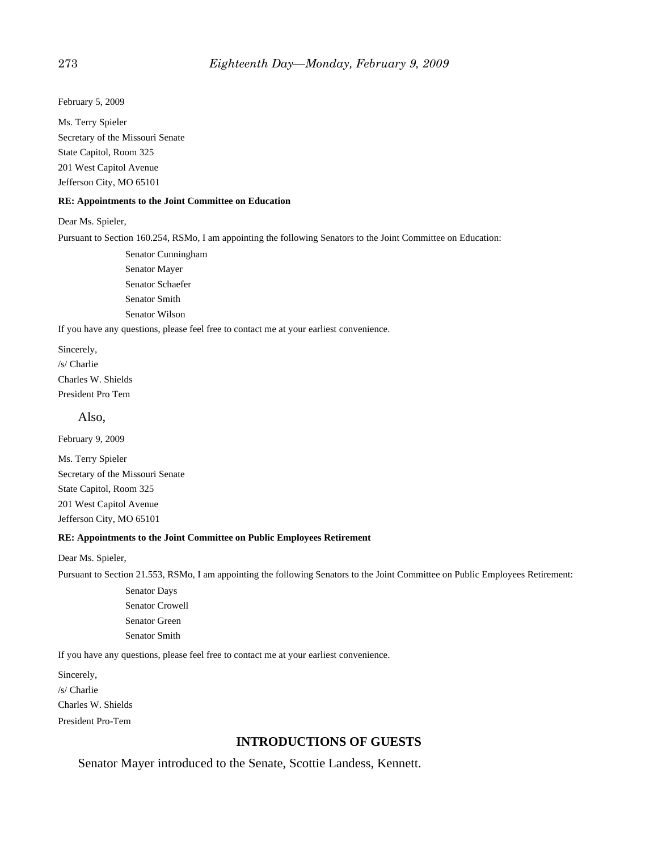February 5, 2009

Ms. Terry Spieler Secretary of the Missouri Senate State Capitol, Room 325 201 West Capitol Avenue Jefferson City, MO 65101

#### **RE: Appointments to the Joint Committee on Education**

#### Dear Ms. Spieler,

Pursuant to Section 160.254, RSMo, I am appointing the following Senators to the Joint Committee on Education:

Senator Cunningham Senator Mayer Senator Schaefer Senator Smith Senator Wilson

If you have any questions, please feel free to contact me at your earliest convenience.

Sincerely, /s/ Charlie Charles W. Shields President Pro Tem

Also,

February 9, 2009

Ms. Terry Spieler Secretary of the Missouri Senate State Capitol, Room 325 201 West Capitol Avenue Jefferson City, MO 65101

#### **RE: Appointments to the Joint Committee on Public Employees Retirement**

Dear Ms. Spieler,

Pursuant to Section 21.553, RSMo, I am appointing the following Senators to the Joint Committee on Public Employees Retirement:

Senator Days Senator Crowell Senator Green Senator Smith

If you have any questions, please feel free to contact me at your earliest convenience.

Sincerely, /s/ Charlie Charles W. Shields President Pro-Tem

## **INTRODUCTIONS OF GUESTS**

Senator Mayer introduced to the Senate, Scottie Landess, Kennett.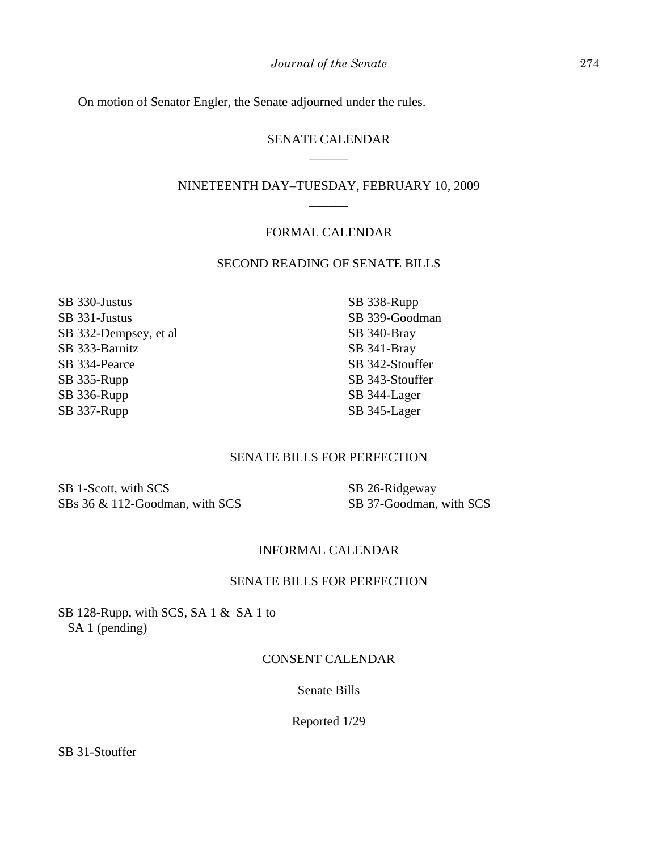On motion of Senator Engler, the Senate adjourned under the rules.

# SENATE CALENDAR \_\_\_\_\_\_

# NINETEENTH DAY–TUESDAY, FEBRUARY 10, 2009  $\overline{\phantom{a}}$

## FORMAL CALENDAR

## SECOND READING OF SENATE BILLS

SB 330-Justus SB 331-Justus SB 332-Dempsey, et al SB 333-Barnitz SB 334-Pearce SB 335-Rupp SB 336-Rupp SB 337-Rupp

SB 338-Rupp SB 339-Goodman SB 340-Bray SB 341-Bray SB 342-Stouffer SB 343-Stouffer SB 344-Lager SB 345-Lager

# SENATE BILLS FOR PERFECTION

SB 1-Scott, with SCS SBs 36 & 112-Goodman, with SCS SB 26-Ridgeway SB 37-Goodman, with SCS

## INFORMAL CALENDAR

#### SENATE BILLS FOR PERFECTION

SB 128-Rupp, with SCS, SA 1 & SA 1 to SA 1 (pending)

## CONSENT CALENDAR

Senate Bills

Reported 1/29